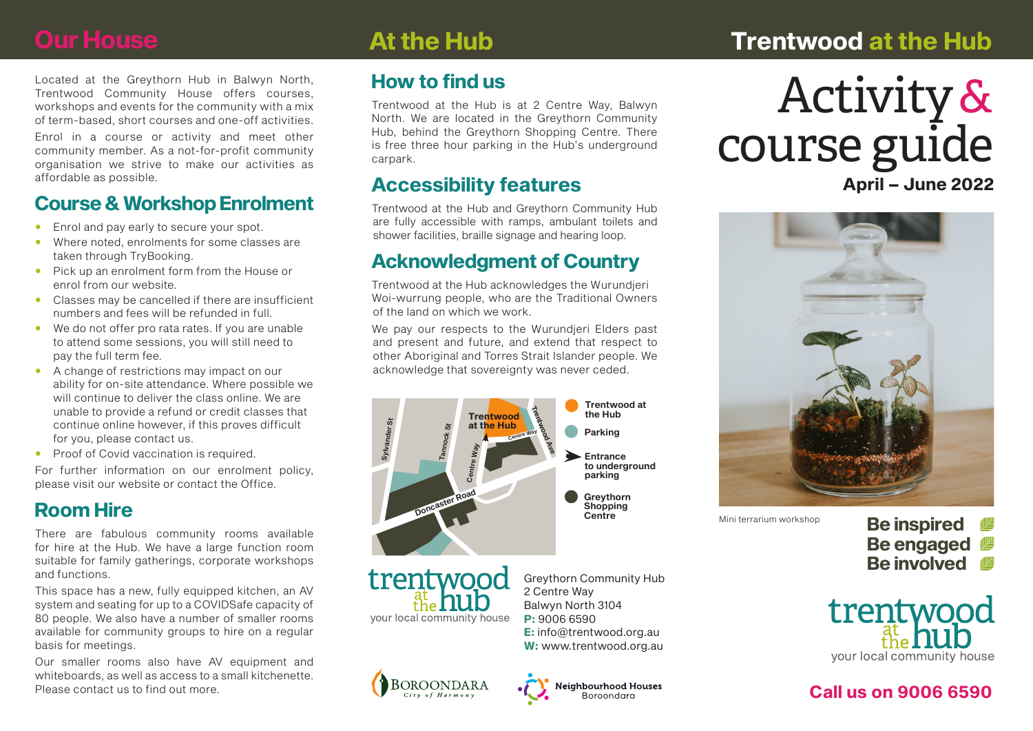# **Our House**

# **At the Hub Trentwood at the Hub**

Located at the Greythorn Hub in Balwyn North, Trentwood Community House offers courses, workshops and events for the community with a mix of term-based, short courses and one-off activities.

Enrol in a course or activity and meet other community member. As a not-for-profit community organisation we strive to make our activities as affordable as possible.

## **Course & Workshop Enrolment**

- Enrol and pay early to secure your spot.
- Where noted, enrolments for some classes are taken through TryBooking.
- Pick up an enrolment form from the House or enrol from our website.
- Classes may be cancelled if there are insufficient numbers and fees will be refunded in full.
- We do not offer pro rata rates. If you are unable to attend some sessions, you will still need to pay the full term fee.
- A change of restrictions may impact on our ability for on-site attendance. Where possible we will continue to deliver the class online. We are unable to provide a refund or credit classes that continue online however, if this proves difficult for you, please contact us.
- Proof of Covid vaccination is required.

For further information on our enrolment policy, please visit our website or contact the Office.

## **Room Hire**

There are fabulous community rooms available for hire at the Hub. We have a large function room suitable for family gatherings, corporate workshops and functions.

This space has a new, fully equipped kitchen, an AV system and seating for up to a COVIDSafe capacity of 80 people. We also have a number of smaller rooms available for community groups to hire on a regular basis for meetings.

Our smaller rooms also have AV equipment and whiteboards, as well as access to a small kitchenette. Please contact us to find out more.

## **How to find us**

Trentwood at the Hub is at 2 Centre Way, Balwyn North. We are located in the Greythorn Community Hub, behind the Greythorn Shopping Centre. There is free three hour parking in the Hub's underground carpark.

### **Accessibility features**

Trentwood at the Hub and Greythorn Community Hub are fully accessible with ramps, ambulant toilets and shower facilities, braille signage and hearing loop.

## **Acknowledgment of Country**

Trentwood at the Hub acknowledges the Wurundjeri Woi-wurrung people, who are the Traditional Owners of the land on which we work.

We pay our respects to the Wurundjeri Elders past and present and future, and extend that respect to other Aboriginal and Torres Strait Islander people. We acknowledge that sovereignty was never ceded.





Greythorn Community Hub **E:** info@trentwood.org.au **W:** www.trentwood.org.au



# **April – June 2022** Activity & course guide



Mini terrarium workshop

**Be inspired Be engaged Be involved**



### **Call us on 9006 6590**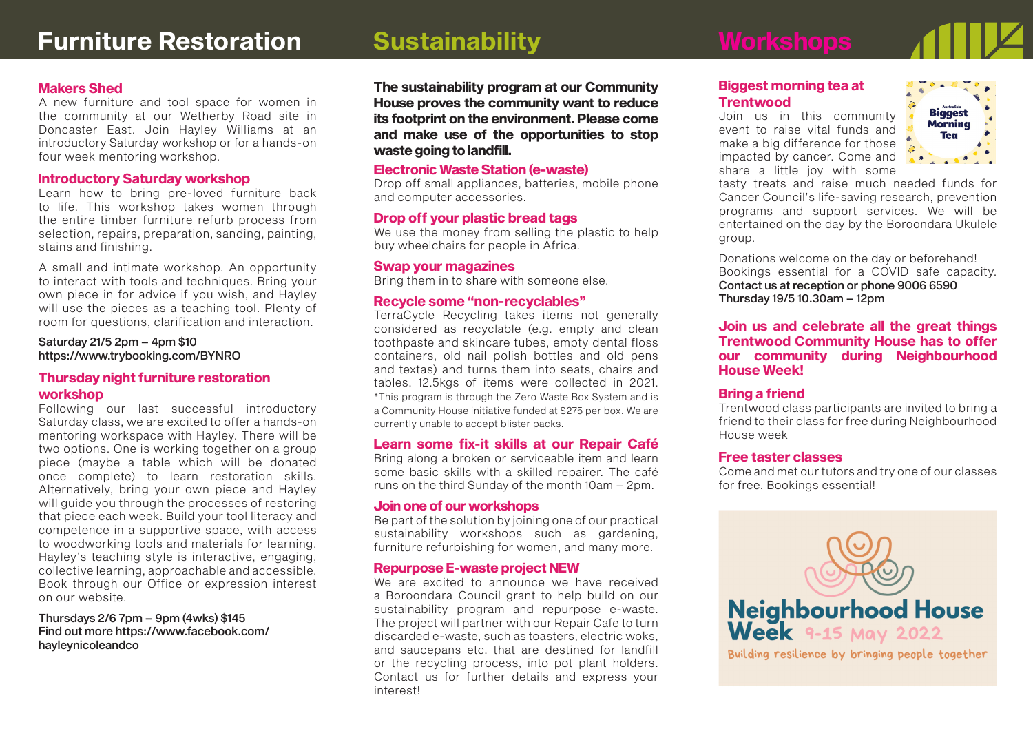### **Biggest morning tea at Trentwood**

Join us in this community event to raise vital funds and make a big difference for those impacted by cancer. Come and share a little joy with some



tasty treats and raise much needed funds for Cancer Council's life-saving research, prevention programs and support services. We will be entertained on the day by the Boroondara Ukulele group.

Donations welcome on the day or beforehand! Bookings essential for a COVID safe capacity. Contact us at reception or phone 9006 6590 Thursday 19/5 10.30am – 12pm

**Join us and celebrate all the great things Trentwood Community House has to offer our community during Neighbourhood House Week!**

#### **Bring a friend**

Trentwood class participants are invited to bring a friend to their class for free during Neighbourhood House week

#### **Free taster classes**

Come and met our tutors and try one of our classes for free. Bookings essential!



Building resilience by bringing people together

### **Makers Shed**

A new furniture and tool space for women in the community at our Wetherby Road site in Doncaster East. Join Hayley Williams at an introductory Saturday workshop or for a hands-on four week mentoring workshop.

#### **Introductory Saturday workshop**

Learn how to bring pre-loved furniture back to life. This workshop takes women through the entire timber furniture refurb process from selection, repairs, preparation, sanding, painting, stains and finishing.

A small and intimate workshop. An opportunity to interact with tools and techniques. Bring your own piece in for advice if you wish, and Hayley will use the pieces as a teaching tool. Plenty of room for questions, clarification and interaction.

Saturday 21/5 2pm – 4pm \$10 https://www.trybooking.com/BYNRO

#### **Thursday night furniture restoration workshop**

Following our last successful introductory Saturday class, we are excited to offer a hands-on mentoring workspace with Hayley. There will be two options. One is working together on a group piece (maybe a table which will be donated once complete) to learn restoration skills. Alternatively, bring your own piece and Hayley will guide you through the processes of restoring that piece each week. Build your tool literacy and competence in a supportive space, with access to woodworking tools and materials for learning. Hayley's teaching style is interactive, engaging, collective learning, approachable and accessible. Book through our Office or expression interest on our website.

Thursdays 2/6 7pm – 9pm (4wks) \$145 Find out more https://www.facebook.com/ hayleynicoleandco

**The sustainability program at our Community House proves the community want to reduce its footprint on the environment. Please come and make use of the opportunities to stop waste going to landfill.**

#### **Electronic Waste Station (e-waste)**

Drop off small appliances, batteries, mobile phone and computer accessories.

#### **Drop off your plastic bread tags**

We use the money from selling the plastic to help buy wheelchairs for people in Africa.

#### **Swap your magazines**

Bring them in to share with someone else.

#### **Recycle some "non-recyclables"**

TerraCycle Recycling takes items not generally considered as recyclable (e.g. empty and clean toothpaste and skincare tubes, empty dental floss containers, old nail polish bottles and old pens and textas) and turns them into seats, chairs and tables. 12.5kgs of items were collected in 2021. \*This program is through the Zero Waste Box System and is a Community House initiative funded at \$275 per box. We are currently unable to accept blister packs.

#### **Learn some fix-it skills at our Repair Café**

Bring along a broken or serviceable item and learn some basic skills with a skilled repairer. The café runs on the third Sunday of the month 10am – 2pm.

#### **Join one of our workshops**

Be part of the solution by joining one of our practical sustainability workshops such as gardening, furniture refurbishing for women, and many more.

#### **Repurpose E-waste project NEW**

We are excited to announce we have received a Boroondara Council grant to help build on our sustainability program and repurpose e-waste. The project will partner with our Repair Cafe to turn discarded e-waste, such as toasters, electric woks, and saucepans etc. that are destined for landfill or the recycling process, into pot plant holders. Contact us for further details and express your interest!